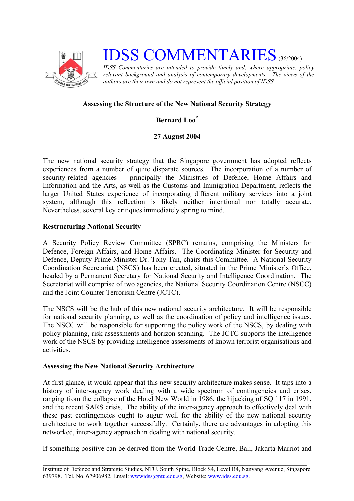

# **IDSS COMMENTARIES** (36/2004)

*IDSS Commentaries are intended to provide timely and, where appropriate, policy relevant background and analysis of contemporary developments. The views of the authors are their own and do not represent the official position of IDSS.* 

#### **Assessing the Structure of the New National Security Strategy**

# **Bernard Loo[\\*](#page-2-0)**

## **27 August 2004**

The new national security strategy that the Singapore government has adopted reflects experiences from a number of quite disparate sources. The incorporation of a number of security-related agencies – principally the Ministries of Defence, Home Affairs and Information and the Arts, as well as the Customs and Immigration Department, reflects the larger United States experience of incorporating different military services into a joint system, although this reflection is likely neither intentional nor totally accurate. Nevertheless, several key critiques immediately spring to mind.

## **Restructuring National Security**

A Security Policy Review Committee (SPRC) remains, comprising the Ministers for Defence, Foreign Affairs, and Home Affairs. The Coordinating Minister for Security and Defence, Deputy Prime Minister Dr. Tony Tan, chairs this Committee. A National Security Coordination Secretariat (NSCS) has been created, situated in the Prime Minister's Office, headed by a Permanent Secretary for National Security and Intelligence Coordination. The Secretariat will comprise of two agencies, the National Security Coordination Centre (NSCC) and the Joint Counter Terrorism Centre (JCTC).

The NSCS will be the hub of this new national security architecture. It will be responsible for national security planning, as well as the coordination of policy and intelligence issues. The NSCC will be responsible for supporting the policy work of the NSCS, by dealing with policy planning, risk assessments and horizon scanning. The JCTC supports the intelligence work of the NSCS by providing intelligence assessments of known terrorist organisations and activities.

#### **Assessing the New National Security Architecture**

At first glance, it would appear that this new security architecture makes sense. It taps into a history of inter-agency work dealing with a wide spectrum of contingencies and crises, ranging from the collapse of the Hotel New World in 1986, the hijacking of SQ 117 in 1991, and the recent SARS crisis. The ability of the inter-agency approach to effectively deal with these past contingencies ought to augur well for the ability of the new national security architecture to work together successfully. Certainly, there are advantages in adopting this networked, inter-agency approach in dealing with national security.

If something positive can be derived from the World Trade Centre, Bali, Jakarta Marriot and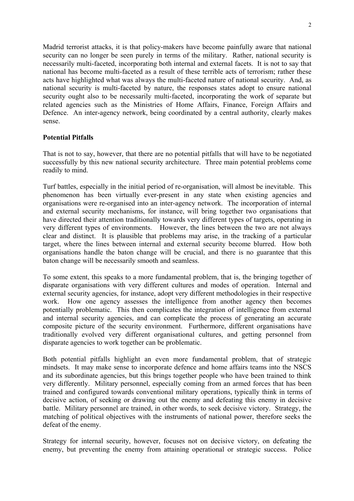Madrid terrorist attacks, it is that policy-makers have become painfully aware that national security can no longer be seen purely in terms of the military. Rather, national security is necessarily multi-faceted, incorporating both internal and external facets. It is not to say that national has become multi-faceted as a result of these terrible acts of terrorism; rather these acts have highlighted what was always the multi-faceted nature of national security. And, as national security is multi-faceted by nature, the responses states adopt to ensure national security ought also to be necessarily multi-faceted, incorporating the work of separate but related agencies such as the Ministries of Home Affairs, Finance, Foreign Affairs and Defence. An inter-agency network, being coordinated by a central authority, clearly makes sense.

#### **Potential Pitfalls**

That is not to say, however, that there are no potential pitfalls that will have to be negotiated successfully by this new national security architecture. Three main potential problems come readily to mind.

Turf battles, especially in the initial period of re-organisation, will almost be inevitable. This phenomenon has been virtually ever-present in any state when existing agencies and organisations were re-organised into an inter-agency network. The incorporation of internal and external security mechanisms, for instance, will bring together two organisations that have directed their attention traditionally towards very different types of targets, operating in very different types of environments. However, the lines between the two are not always clear and distinct. It is plausible that problems may arise, in the tracking of a particular target, where the lines between internal and external security become blurred. How both organisations handle the baton change will be crucial, and there is no guarantee that this baton change will be necessarily smooth and seamless.

To some extent, this speaks to a more fundamental problem, that is, the bringing together of disparate organisations with very different cultures and modes of operation. Internal and external security agencies, for instance, adopt very different methodologies in their respective work. How one agency assesses the intelligence from another agency then becomes potentially problematic. This then complicates the integration of intelligence from external and internal security agencies, and can complicate the process of generating an accurate composite picture of the security environment. Furthermore, different organisations have traditionally evolved very different organisational cultures, and getting personnel from disparate agencies to work together can be problematic.

Both potential pitfalls highlight an even more fundamental problem, that of strategic mindsets. It may make sense to incorporate defence and home affairs teams into the NSCS and its subordinate agencies, but this brings together people who have been trained to think very differently. Military personnel, especially coming from an armed forces that has been trained and configured towards conventional military operations, typically think in terms of decisive action, of seeking or drawing out the enemy and defeating this enemy in decisive battle. Military personnel are trained, in other words, to seek decisive victory. Strategy, the matching of political objectives with the instruments of national power, therefore seeks the defeat of the enemy.

Strategy for internal security, however, focuses not on decisive victory, on defeating the enemy, but preventing the enemy from attaining operational or strategic success. Police